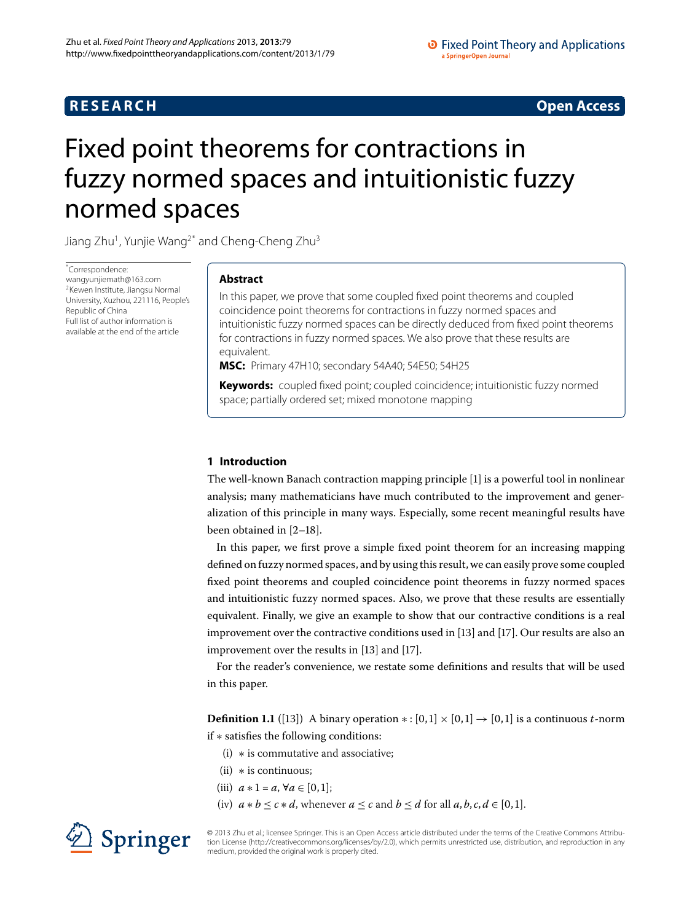## **RESEARCH CONSTRUCTER ACCESS**

# <span id="page-0-0"></span>Fixed point theorems for contractions in fuzzy normed spaces and intuitionistic fuzzy normed spaces

Jiang Zhu<sup>[1](#page-8-0)</sup>, Yunjie Wang<sup>2[\\*](#page-0-0)</sup> and Cheng-Cheng Zhu<sup>3</sup>

\* Correspondence: [wangyunjiemath@163.com](mailto:wangyunjiemath@163.com) 2Kewen Institute, Jiangsu Normal University, Xuzhou, 221116, People's Republic of China Full list of author information is available at the end of the article

## **Abstract**

In this paper, we prove that some coupled fixed point theorems and coupled coincidence point theorems for contractions in fuzzy normed spaces and intuitionistic fuzzy normed spaces can be directly deduced from fixed point theorems for contractions in fuzzy normed spaces. We also prove that these results are equivalent.

**MSC:** Primary 47H10; secondary 54A40; 54E50; 54H25

**Keywords:** coupled fixed point; coupled coincidence; intuitionistic fuzzy normed space; partially ordered set; mixed monotone mapping

## **1 Introduction**

The well-known Banach contraction mapping principle [\[\]](#page-8-3) is a powerful tool in nonlinear analysis; many mathematicians have much contributed to the improvement and generalization of this principle in many ways. Especially, some recent meaningful results have been obtained in  $[2-18]$  $[2-18]$  $[2-18]$ .

In this paper, we first prove a simple fixed point theorem for an increasing mapping defined on fuzzy normed spaces, and by using this result, we can easily prove some coupled fixed point theorems and coupled coincidence point theorems in fuzzy normed spaces and intuitionistic fuzzy normed spaces. Also, we prove that these results are essentially equivalent. Finally, we give an example to show that our contractive conditions is a real improvement over the contractive conditions used in [13] and [17]. Our results are also an improvement over the results in  $[13]$  $[13]$  and  $[17]$ .

For the reader's convenience, we restate some definitions and results that will be used in this paper.

**Definition 1.1** ([13[\]](#page-9-1)) A binary operation  $*: [0,1] \times [0,1] \rightarrow [0,1]$  is a continuous *t*-norm if ∗ satisfies the following conditions:

- (i) ∗ is commutative and associative;
- $(ii)$  \* is continuous;
- (iii)  $a * 1 = a, \forall a \in [0, 1];$
- (iv)  $a * b \leq c * d$ , whenever  $a \leq c$  and  $b \leq d$  for all  $a, b, c, d \in [0, 1]$ .



© 2013 Zhu et al.; licensee Springer. This is an Open Access article distributed under the terms of the Creative Commons Attribution License ([http://creativecommons.org/licenses/by/2.0\)](http://creativecommons.org/licenses/by/2.0), which permits unrestricted use, distribution, and reproduction in any medium, provided the original work is properly cited.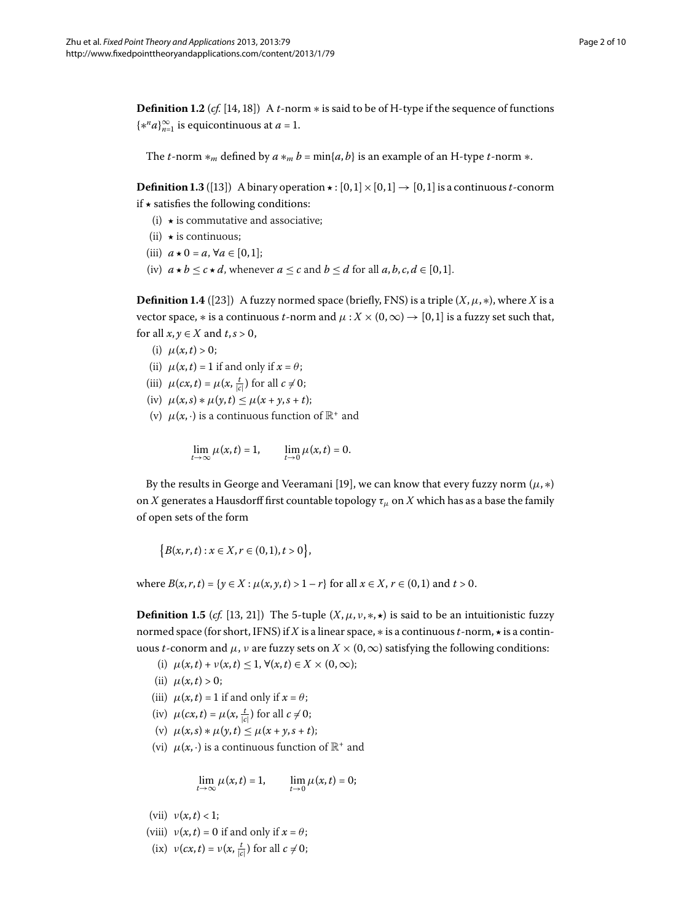**Definition 1.2** (*cf.* [14[,](#page-9-3) 18[\]](#page-9-0)) A *t*-norm  $*$  is said to be of H-type if the sequence of functions  ${x^n a}_{n=1}^{\infty}$  is equicontinuous at *a* = 1.

The *t*-norm  $*_m$  defined by  $a *_{m} b = min\{a, b\}$  is an example of an H-type *t*-norm  $*$ .

<span id="page-1-0"></span>**Definition 1.3** ([13]) A binary operation  $\star : [0,1] \times [0,1] \rightarrow [0,1]$  is a continuous *t*-conorm if *-* satisfies the following conditions:

- (i) *-* is commutative and associative;
- (ii) *-* is continuous;
- (iii)  $a \star 0 = a, \forall a \in [0,1];$
- (iv)  $a \star b \leq c \star d$ , whenever  $a \leq c$  and  $b \leq d$  for all  $a, b, c, d \in [0, 1]$ .

**Definition 1.4** ([23]) A fuzzy normed space (briefly, FNS) is a triple  $(X, \mu, *)$ , where *X* is a vector space,  $*$  is a continuous *t*-norm and  $\mu$  :  $X \times (0, \infty) \rightarrow [0, 1]$  is a fuzzy set such that, for all  $x, y \in X$  and  $t, s > 0$ ,

- (i)  $\mu(x,t) > 0$ ;
- (ii)  $\mu(x, t) = 1$  if and only if  $x = \theta$ ;
- (iii)  $\mu(cx, t) = \mu(x, \frac{t}{|c|})$  for all  $c \neq 0$ ;
- (iv)  $\mu(x,s) * \mu(y,t) \leq \mu(x+y,s+t);$
- (v)  $\mu(x, \cdot)$  is a continuous function of  $\mathbb{R}^+$  and

$$
\lim_{t\to\infty}\mu(x,t)=1,\qquad \lim_{t\to 0}\mu(x,t)=0.
$$

By the results in George and Veeramani [19[\]](#page-9-5), we can know that every fuzzy norm  $(\mu, *)$ on *X* generates a Hausdorff first countable topology *τμ* on *X* which has as a base the family of open sets of the form

<span id="page-1-1"></span>
$$
\Big\{ B(x,r,t) : x \in X, r \in (0,1), t > 0 \Big\},
$$

where  $B(x, r, t) = \{y \in X : \mu(x, y, t) > 1 - r\}$  for all  $x \in X, r \in (0, 1)$  and  $t > 0$ .

**Definition 1.5** (*cf.* [13[,](#page-9-1) 21]) The 5-tuple  $(X, \mu, \nu, *, \star)$  is said to be an intuitionistic fuzzy normed space (for short, IFNS) if *X* is a linear space, ∗ is a continuous*t*-norm, *-* is a continuous *t*-conorm and  $\mu$ , *ν* are fuzzy sets on  $X \times (0, \infty)$  satisfying the following conditions:

- (i)  $\mu(x, t) + \nu(x, t) \leq 1, \forall (x, t) \in X \times (0, \infty);$
- (ii)  $\mu(x,t) > 0;$
- (iii)  $\mu(x, t) = 1$  if and only if  $x = \theta$ ;
- (iv)  $\mu(cx, t) = \mu(x, \frac{t}{|c|})$  for all  $c \neq 0$ ;
- $\mu(x, s) * \mu(y, t) \leq \mu(x + y, s + t);$
- (vi)  $\mu(x, \cdot)$  is a continuous function of  $\mathbb{R}^+$  and

$$
\lim_{t\to\infty}\mu(x,t)=1,\qquad\lim_{t\to 0}\mu(x,t)=0;
$$

(vii)  $v(x, t) < 1$ ;

- (viii)  $v(x,t) = 0$  if and only if  $x = \theta$ ;
- (ix)  $v(cx, t) = v(x, \frac{t}{|c|})$  for all  $c \neq 0$ ;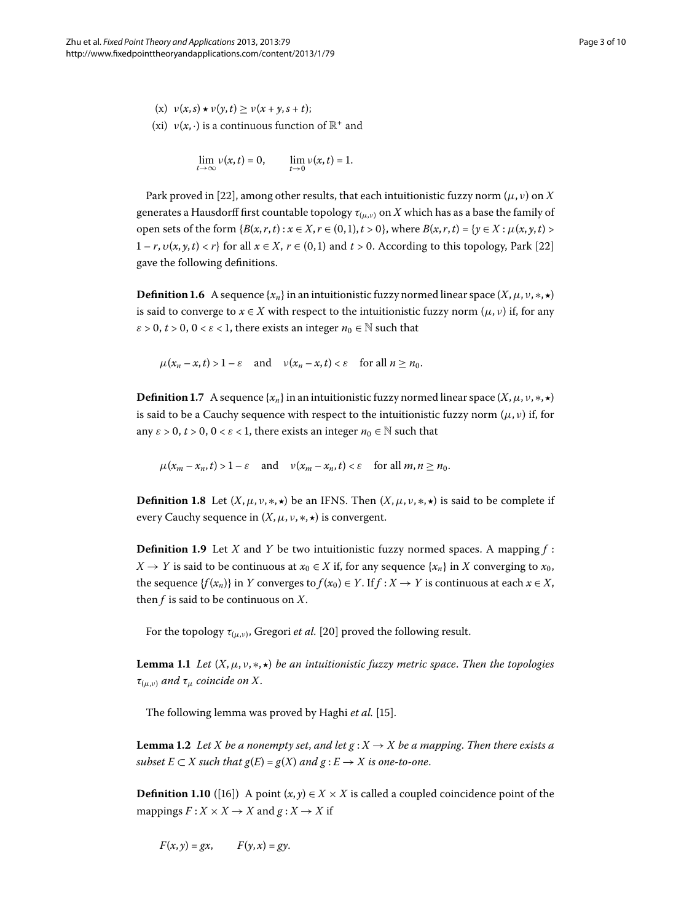$(v)$   $v(x, s) \star v(y, t) \ge v(x + y, s + t);$ (xi)  $v(x, \cdot)$  is a continuous function of  $\mathbb{R}^+$  and

$$
\lim_{t\to\infty}v(x,t)=0,\qquad \lim_{t\to 0}v(x,t)=1.
$$

Park proved in [22[\]](#page-9-7), among other results, that each intuitionistic fuzzy norm  $(\mu, \nu)$  on *X* generates a Hausdorff first countable topology  $\tau_{(\mu,\nu)}$  on X which has as a base the family of open sets of the form  ${B(x,r,t): x \in X, r \in (0,1), t > 0}$ , where  $B(x,r,t) = {y \in X : \mu(x,y,t) > 0}$  $1 - r$ ,  $v(x, y, t) < r$  for all  $x \in X$ ,  $r \in (0, 1)$  and  $t > 0$ . According to this topology, Park [22] gave the following definitions.

**Definition 1.6** A sequence { $x_n$ } in an intuitionistic fuzzy normed linear space (*X*,  $\mu$ ,  $\nu$ ,  $\ast$ ,  $\star$ ) is said to converge to  $x \in X$  with respect to the intuitionistic fuzzy norm  $(\mu, \nu)$  if, for any  $\varepsilon$  > 0,  $t$  > 0,  $0 < \varepsilon$  < 1, there exists an integer  $n_0 \in \mathbb{N}$  such that

 $\mu(x_n - x, t) > 1 - \varepsilon$  and  $\nu(x_n - x, t) < \varepsilon$  for all  $n \ge n_0$ .

**Definition 1.7** A sequence  $\{x_n\}$  in an intuitionistic fuzzy normed linear space  $(X, \mu, \nu, *, \star)$ is said to be a Cauchy sequence with respect to the intuitionistic fuzzy norm  $(\mu, \nu)$  if, for any  $\varepsilon > 0$ ,  $t > 0$ ,  $0 < \varepsilon < 1$ , there exists an integer  $n_0 \in \mathbb{N}$  such that

 $\mu(x_m - x_n, t) > 1 - \varepsilon$  and  $\nu(x_m - x_n, t) < \varepsilon$  for all  $m, n > n_0$ .

**Definition 1.8** Let  $(X, \mu, \nu, \ast, \star)$  be an IFNS. Then  $(X, \mu, \nu, \ast, \star)$  is said to be complete if every Cauchy sequence in (*X*,*μ*, *ν*, ∗, *-*) is convergent.

<span id="page-2-0"></span>**Definition 1.9** Let *X* and *Y* be two intuitionistic fuzzy normed spaces. A mapping  $f$  : *X* → *Y* is said to be continuous at  $x_0$  ∈ *X* if, for any sequence { $x_n$ } in *X* converging to  $x_0$ , the sequence  $\{f(x_n)\}\$ in *Y* converges to  $f(x_0) \in Y$ . If  $f: X \to Y$  is continuous at each  $x \in X$ , then *f* is said to be continuous on *X*.

For the topology  $\tau_{(\mu,\nu)}$ , Gregori *et al.* [\[](#page-9-8)20] proved the following result.

<span id="page-2-1"></span>**Lemma .** *Let* (*X*,*μ*, *ν*, ∗, *-*) *be an intuitionistic fuzzy metric space*. *Then the topologies τ*(*μ*,*ν*) *and τμ coincide on X*.

The following lemma was proved by Haghi et al. [15[\]](#page-9-9).

**Lemma 1.2** Let *X* be a nonempty set, and let  $g: X \to X$  be a mapping. Then there exists a *subset*  $E \subset X$  *such that*  $g(E) = g(X)$  *and*  $g: E \to X$  *is one-to-one.* 

**Definition 1.10** ([16]) A point  $(x, y) \in X \times X$  is called a coupled coincidence point of the mappings  $F: X \times X \rightarrow X$  and  $g: X \rightarrow X$  if

 $F(x, y) = gx$ ,  $F(y, x) = gy$ .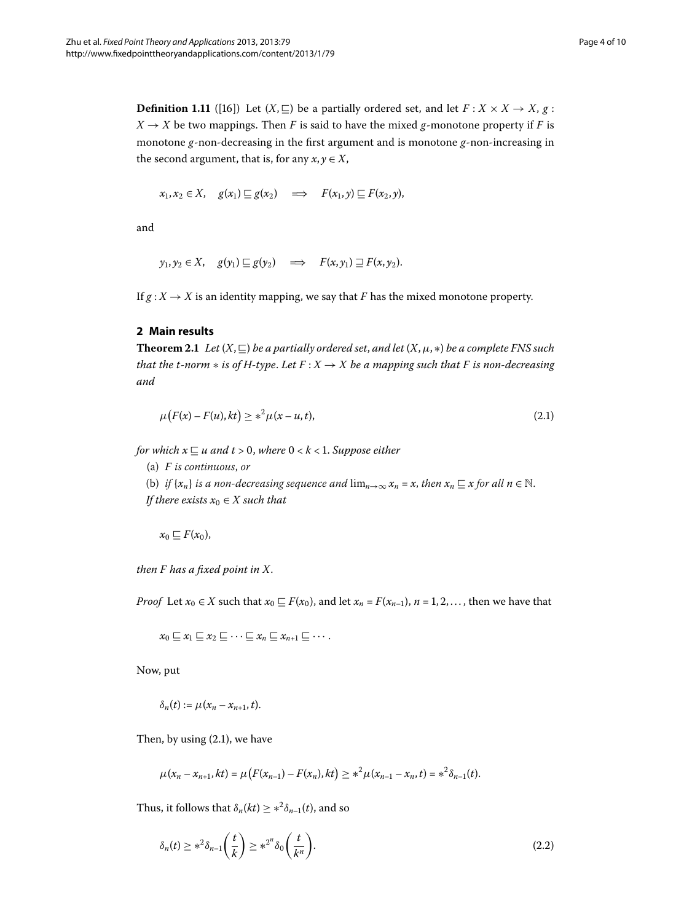**Definition 1.11** ([\[](#page-9-10)16]) Let  $(X, \subseteq)$  be a partially ordered set, and let  $F: X \times X \rightarrow X$ ,  $g:$  $X \rightarrow X$  be two mappings. Then *F* is said to have the mixed *g*-monotone property if *F* is monotone *g*-non-decreasing in the first argument and is monotone *g*-non-increasing in the second argument, that is, for any  $x, y \in X$ ,

$$
x_1, x_2 \in X
$$
,  $g(x_1) \sqsubseteq g(x_2) \implies F(x_1, y) \sqsubseteq F(x_2, y)$ ,

<span id="page-3-2"></span>and

<span id="page-3-0"></span>
$$
y_1, y_2 \in X
$$
,  $g(y_1) \sqsubseteq g(y_2) \implies F(x, y_1) \sqsupseteq F(x, y_2)$ .

If  $g: X \to X$  is an identity mapping, we say that *F* has the mixed monotone property.

### **2 Main results**

**Theorem 2.1** Let  $(X, \subseteq)$  be a partially ordered set, and let  $(X, \mu, *)$  be a complete FNS such *that the t-norm*  $*$  *is of H-type. Let*  $F: X \to X$  *be a mapping such that*  $F$  *is non-decreasing and*

$$
\mu\big(F(x) - F(u), kt\big) \ge *^2 \mu(x - u, t),\tag{2.1}
$$

*for which*  $x \sqsubseteq u$  *and*  $t > 0$ *, where*  $0 < k < 1$ *. Suppose either* 

(a) *F is continuous*, *or*

(b) *if*  $\{x_n\}$  *is a non-decreasing sequence and*  $\lim_{n\to\infty} x_n = x$ , *then*  $x_n \subseteq x$  *for all*  $n \in \mathbb{N}$ . *If there exists*  $x_0 \in X$  *such that* 

 $x_0 \sqsubseteq F(x_0)$ ,

*then F has a fixed point in X*.

*Proof* Let  $x_0 \in X$  such that  $x_0 \subseteq F(x_0)$ , and let  $x_n = F(x_{n-1})$ ,  $n = 1, 2, \ldots$ , then we have that

 $x_0 \sqsubseteq x_1 \sqsubseteq x_2 \sqsubseteq \cdots \sqsubseteq x_n \sqsubseteq x_{n+1} \sqsubseteq \cdots$ .

Now, put

$$
\delta_n(t):=\mu(x_n-x_{n+1},t).
$$

Then, by using  $(2.1)$ , we have

<span id="page-3-1"></span>
$$
\mu(x_n - x_{n+1}, kt) = \mu\big(F(x_{n-1}) - F(x_n), kt\big) \geq *^2 \mu(x_{n-1} - x_n, t) = *^2 \delta_{n-1}(t).
$$

Thus, it follows that  $\delta_n(kt) \geq *^2 \delta_{n-1}(t)$ , and so

$$
\delta_n(t) \geq *^2 \delta_{n-1}\left(\frac{t}{k}\right) \geq *^{2^n} \delta_0\left(\frac{t}{k^n}\right). \tag{2.2}
$$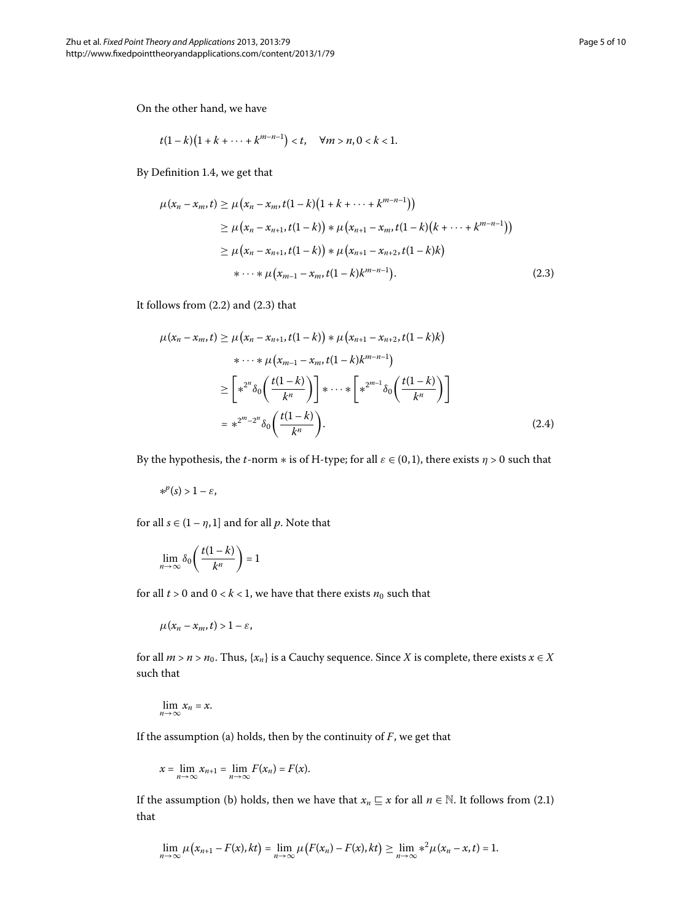<span id="page-4-0"></span>On the other hand, we have

$$
t(1-k)(1+k+\cdots+k^{m-n-1}) < t, \quad \forall m > n, 0 < k < 1.
$$

By Definition 1.4, we get that

$$
\mu(x_n - x_m, t) \ge \mu(x_n - x_m, t(1-k)(1+k+\cdots+k^{m-n-1}))
$$
  
\n
$$
\ge \mu(x_n - x_{n+1}, t(1-k)) * \mu(x_{n+1} - x_m, t(1-k)(k+\cdots+k^{m-n-1}))
$$
  
\n
$$
\ge \mu(x_n - x_{n+1}, t(1-k)) * \mu(x_{n+1} - x_{n+2}, t(1-k)k)
$$
  
\n
$$
* \cdots * \mu(x_{m-1} - x_m, t(1-k)k^{m-n-1}).
$$
\n(2.3)

It follows from  $(2.2)$  $(2.2)$  $(2.2)$  and  $(2.3)$  that

$$
\mu(x_n - x_m, t) \ge \mu(x_n - x_{n+1}, t(1-k)) * \mu(x_{n+1} - x_{n+2}, t(1-k)k)
$$
  

$$
* \cdots * \mu(x_{m-1} - x_m, t(1-k)k^{m-n-1})
$$
  

$$
\ge \left[ *^{2^n} \delta_0 \left( \frac{t(1-k)}{k^n} \right) \right] * \cdots * \left[ *^{2^{m-1}} \delta_0 \left( \frac{t(1-k)}{k^n} \right) \right]
$$
  

$$
= *^{2^m - 2^n} \delta_0 \left( \frac{t(1-k)}{k^n} \right).
$$
 (2.4)

By the hypothesis, the *t*-norm  $*$  is of H-type; for all  $\varepsilon \in (0,1)$ , there exists  $\eta > 0$  such that

 $*$ <sup>*p*</sup>(*s*) > 1 −  $\varepsilon$ ,

for all  $s \in (1 - \eta, 1]$  and for all *p*. Note that

$$
\lim_{n\to\infty}\delta_0\left(\frac{t(1-k)}{k^n}\right)=1
$$

for all  $t > 0$  and  $0 < k < 1$ , we have that there exists  $n_0$  such that

$$
\mu(x_n-x_m,t)>1-\varepsilon,
$$

for all  $m > n > n_0$ . Thus, { $x_n$ } is a Cauchy sequence. Since *X* is complete, there exists  $x \in X$ such that

$$
\lim_{n\to\infty}x_n=x.
$$

If the assumption (a) holds, then by the continuity of *F*, we get that

$$
x=\lim_{n\to\infty}x_{n+1}=\lim_{n\to\infty}F(x_n)=F(x).
$$

If the assumption (b) holds, then we have that  $x_n \subseteq x$  for all  $n \in \mathbb{N}$ [.](#page-3-0) It follows from (2.1) that

$$
\lim_{n\to\infty}\mu\big(x_{n+1}-F(x),kt\big)=\lim_{n\to\infty}\mu\big(F(x_n)-F(x),kt\big)\geq \lim_{n\to\infty}*\^2\mu(x_n-x,t)=1.
$$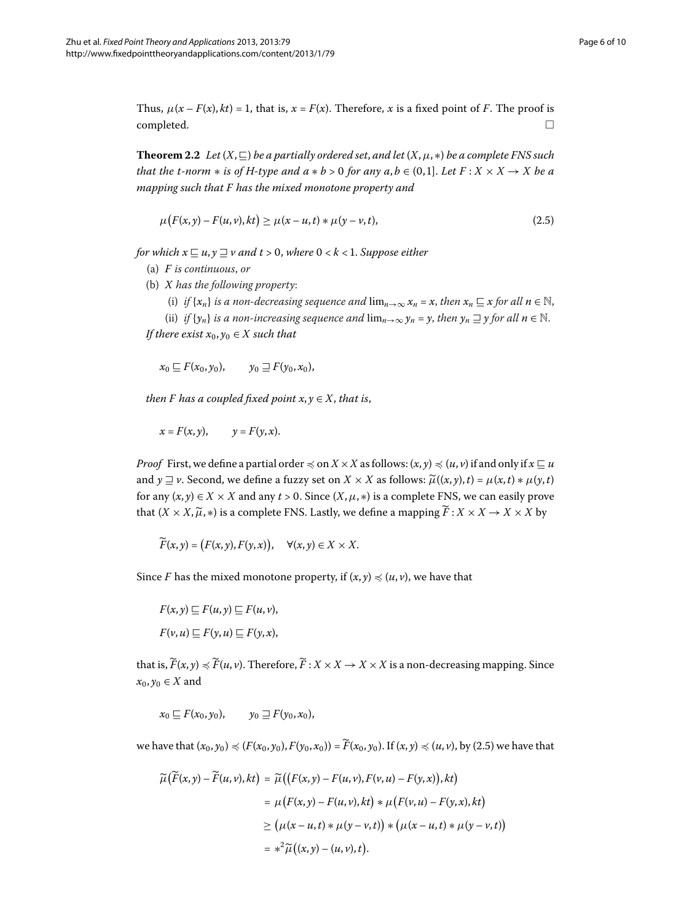<span id="page-5-1"></span>Thus,  $\mu(x - F(x), kt) = 1$ , that is,  $x = F(x)$ . Therefore, x is a fixed point of *F*. The proof is  $\Box$ 

**Theorem 2.2** Let  $(X, \square)$  be a partially ordered set, and let  $(X, \mu, *)$  be a complete FNS such *that the t-norm*  $*$  *is of H-type and*  $a * b > 0$  *for any*  $a, b \in (0,1]$ *. Let*  $F : X \times X \rightarrow X$  *be a mapping such that F has the mixed monotone property and*

<span id="page-5-0"></span>
$$
\mu\big(F(x,y) - F(u,v),kt\big) \ge \mu(x - u,t) * \mu(y - v,t),\tag{2.5}
$$

*for which*  $x \sqsubseteq u, y \sqsupseteq v$  and  $t > 0$ , where  $0 < k < 1$ . Suppose either

- (a) *F is continuous*, *or*
- (b) *X has the following property*:
	- (i) *if*  $\{x_n\}$  *is a non-decreasing sequence and*  $\lim_{n\to\infty} x_n = x$ , *then*  $x_n \subseteq x$  *for all*  $n \in \mathbb{N}$ ,
	- (ii) *if*  $\{y_n\}$  *is a non-increasing sequence and*  $\lim_{n\to\infty} y_n = y$ , *then*  $y_n \supseteq y$  *for all*  $n \in \mathbb{N}$ .

*If there exist*  $x_0, y_0 \in X$  *such that* 

 $x_0 \nightharpoonup F(x_0, y_0), \quad y_0 \nightharpoonup F(y_0, x_0),$ 

*then F has a coupled fixed point*  $x, y \in X$ *, that is,* 

$$
x = F(x, y), \qquad y = F(y, x).
$$

*Proof* First, we define a partial order  $\preccurlyeq$  on  $X \times X$  as follows:  $(x, y) \preccurlyeq (u, v)$  if and only if  $x \sqsubseteq u$ and  $y \sqsupseteq \nu$ . Second, we define a fuzzy set on  $X \times X$  as follows:  $\widetilde{\mu}((x, y), t) = \mu(x, t) * \mu(y, t)$ for any  $(x, y) \in X \times X$  and any  $t > 0$ . Since  $(X, \mu, *)$  is a complete FNS, we can easily prove that  $(X \times X, \widetilde{\mu}, *)$  is a complete FNS. Lastly, we define a mapping  $F : X \times X \rightarrow X \times X$  by

$$
\widetilde{F}(x,y) = (F(x,y), F(y,x)), \quad \forall (x,y) \in X \times X.
$$

Since *F* has the mixed monotone property, if  $(x, y) \le (u, v)$ , we have that

$$
F(x, y) \sqsubseteq F(u, y) \sqsubseteq F(u, v),
$$
  

$$
F(v, u) \sqsubseteq F(y, u) \sqsubseteq F(y, x),
$$

that is,  $F(x, y) \preccurlyeq F(u, v)$ . Therefore,  $F: X \times X \rightarrow X \times X$  is a non-decreasing mapping. Since  $x_0, y_0 \in X$  and

$$
x_0 \sqsubseteq F(x_0, y_0), \qquad y_0 \sqsupseteq F(y_0, x_0),
$$

we have that  $(x_0, y_0) \preccurlyeq (F(x_0, y_0), F(y_0, x_0)) = F(x_0, y_0)$ . If  $(x, y) \preccurlyeq (u, v)$ , by (2.5) we have that

$$
\widetilde{\mu}(\widetilde{F}(x,y) - \widetilde{F}(u,v), kt) = \widetilde{\mu}((F(x,y) - F(u,v), F(v,u) - F(y,x)), kt)
$$
\n
$$
= \mu(F(x,y) - F(u,v), kt) * \mu(F(v,u) - F(y,x), kt)
$$
\n
$$
\geq (\mu(x - u, t) * \mu(y - v, t)) * (\mu(x - u, t) * \mu(y - v, t))
$$
\n
$$
= *^2 \widetilde{\mu}((x,y) - (u,v), t).
$$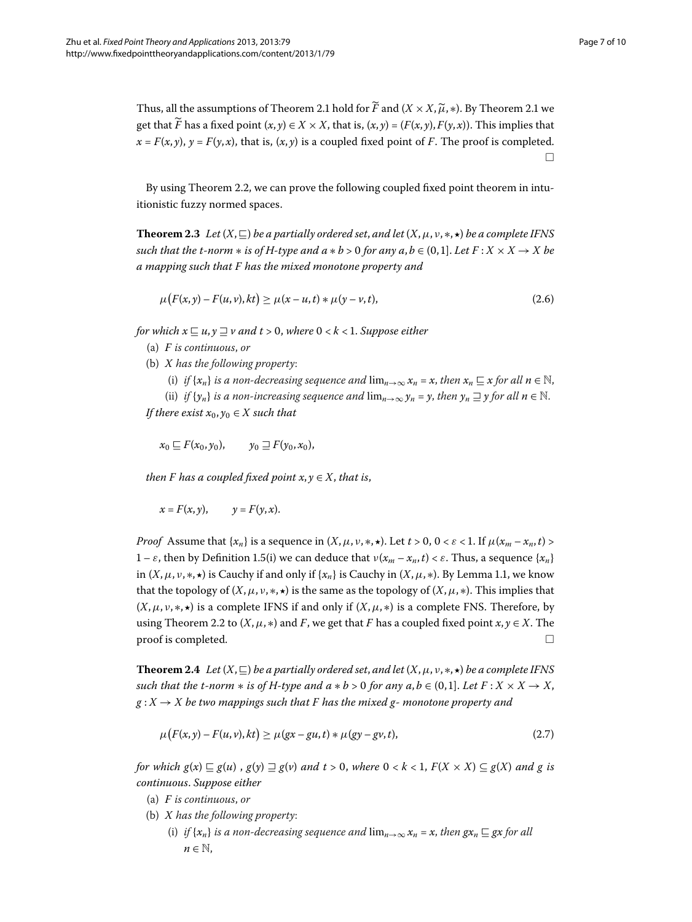<span id="page-6-1"></span>Thus, all the assumptions of Theorem 2[.](#page-3-2)1 hold for *F* and  $(X \times X, \widetilde{\mu}, *)$ . By Theorem 2.1 we get that F has a fixed point  $(x, y) \in X \times X$ , that is,  $(x, y) = (F(x, y), F(y, x))$ . This implies that  $x = F(x, y)$ ,  $y = F(y, x)$ , that is,  $(x, y)$  is a coupled fixed point of *F*. The proof is completed.  $\Box$ 

By using Theorem 2[.](#page-5-1)2, we can prove the following coupled fixed point theorem in intuitionistic fuzzy normed spaces.

**Theorem 2.3** Let  $(X,\sqsubseteq)$  be a partially ordered set, and let  $(X,\mu,\nu,*,\star)$  be a complete IFNS *such that the t-norm*  $*$  *is of H-type and*  $a * b > 0$  *for any*  $a, b \in (0, 1]$ *. Let*  $F : X \times X \rightarrow X$  *be a mapping such that F has the mixed monotone property and*

$$
\mu\big(F(x,y) - F(u,v),kt\big) \ge \mu(x - u,t) * \mu(y - v,t),\tag{2.6}
$$

*for which*  $x \sqsubseteq u, y \sqsupset v$  *and*  $t > 0$ *, where*  $0 < k < 1$ *. Suppose either* 

- (a) *F is continuous*, *or*
- (b) *X has the following property*:
	- (i) *if*  $\{x_n\}$  *is a non-decreasing sequence and*  $\lim_{n\to\infty} x_n = x$ , *then*  $x_n \subseteq x$  *for all*  $n \in \mathbb{N}$ ,

(ii) *if*  $\{y_n\}$  *is a non-increasing sequence and*  $\lim_{n\to\infty} y_n = y$ , *then*  $y_n \supseteq y$  *for all*  $n \in \mathbb{N}$ . *If there exist*  $x_0, y_0 \in X$  *such that* 

$$
x_0 \sqsubseteq F(x_0,y_0), \qquad y_0 \sqsupseteq F(y_0,x_0),
$$

*then F has a coupled fixed point*  $x, y \in X$ *, that is,* 

$$
x = F(x, y), \qquad y = F(y, x).
$$

<span id="page-6-0"></span>*Proof* Assume that  $\{x_n\}$  is a sequence in  $(X, \mu, \nu, \ast, \star)$ . Let  $t > 0$ ,  $0 < \varepsilon < 1$ . If  $\mu(x_m - x_n, t) >$  $1 − ε$ , then by Definition 1[.](#page-1-1)5(i) we can deduce that  $ν(x_m - x_n, t) < ε$ . Thus, a sequence { $x_n$ } in  $(X, \mu, \nu, \ast, \star)$  is Cauchy if and only if  $\{x_n\}$  is Cauchy in  $(X, \mu, \ast)$ . By Lemma 1.1, we know that the topology of  $(X, \mu, \nu, \ast, \star)$  is the same as the topology of  $(X, \mu, \ast)$ . This implies that  $(X, \mu, \nu, \ast, \ast)$  is a complete IFNS if and only if  $(X, \mu, \ast)$  is a complete FNS. Therefore, by using Theorem 2[.](#page-5-1)2 to  $(X, \mu, *)$  and *F*, we get that *F* has a coupled fixed point  $x, y \in X$ . The  $\Box$  proof is completed.  $\Box$ 

**Theorem 2.4** Let  $(X,\sqsubseteq)$  be a partially ordered set, and let  $(X,\mu,\nu,*,\star)$  be a complete IFNS *such that the t-norm*  $*$  *is of H-type and a*  $*$  *b* > 0 *for any a, b*  $\in$  (0,1]*. Let F* : *X*  $\times$  *X*  $\rightarrow$  *X*,  $g: X \to X$  be two mappings such that F has the mixed g- monotone property and

$$
\mu\big(F(x,y) - F(u,v),kt\big) \ge \mu\big(gx - gu,t\big) * \mu\big(gy - gv,t\big),\tag{2.7}
$$

*for which*  $g(x) \sqsubseteq g(u)$ ,  $g(y) \sqsupseteq g(v)$  *and*  $t > 0$ , where  $0 < k < 1$ ,  $F(X \times X) \subseteq g(X)$  *and* g is *continuous*. *Suppose either*

- (a) *F is continuous*, *or*
- (b) *X has the following property*:
	- (i) *if*  $\{x_n\}$  *is a non-decreasing sequence and*  $\lim_{n\to\infty} x_n = x$ , *then*  $gx_n \sqsubseteq gx$  *for all*  $n \in \mathbb{N}$ ,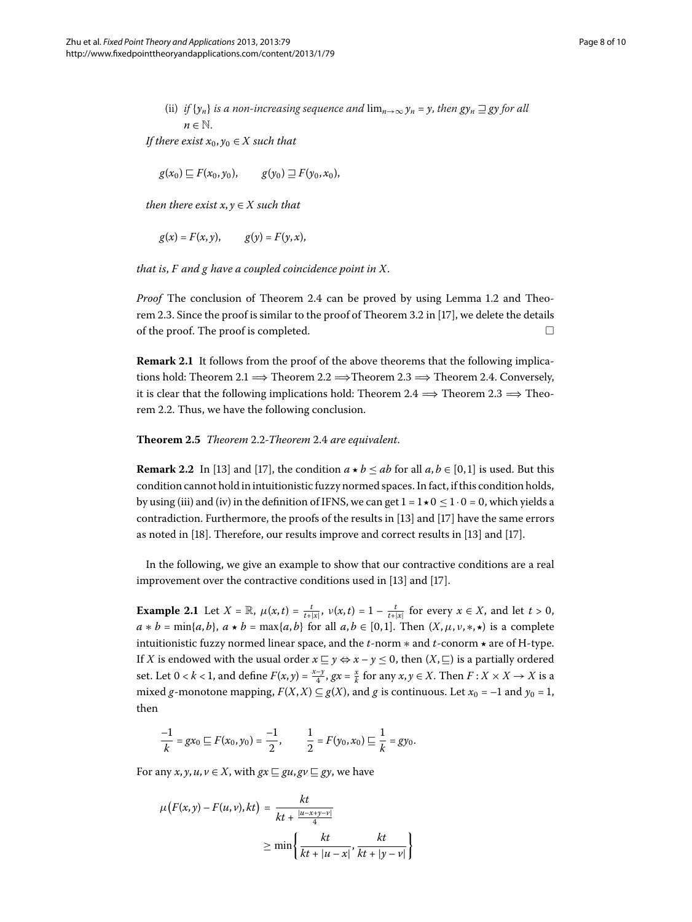(ii) if 
$$
\{y_n\}
$$
 is a non-increasing sequence and  $\lim_{n\to\infty} y_n = y$ , then  $gy_n \sqsupseteq gy$  for all  $n \in \mathbb{N}$ .

*If there exist*  $x_0, y_0 \in X$  *such that* 

$$
g(x_0) \sqsubseteq F(x_0, y_0), \qquad g(y_0) \sqsupseteq F(y_0, x_0),
$$

*then there exist*  $x, y \in X$  *such that* 

$$
g(x) = F(x, y), \qquad g(y) = F(y, x),
$$

*that is*, *F and g have a coupled coincidence point in X*.

*Proof* The conclusion of Theorem 2[.](#page-2-1)4 can be proved by using Lemma 1.2 and Theo-rem 2[.](#page-6-1)3. Since the proof is similar to the proof of Theorem 3.2 in [17], we delete the details of the proof. The proof is completed. - $\Box$ 

**Remark 2.1** It follows from the proof of the above theorems that the following implica-tions hold: Theorem 2[.](#page-6-1)1  $\implies$  Theorem 2.2  $\implies$  Theorem 2.3  $\implies$  Theorem 2.4. Conversely, it is clear that the following implications hold: Theorem 2[.](#page-6-1)4  $\implies$  Theorem 2.3  $\implies$  Theo-rem 2[.](#page-5-1)2. Thus, we have the following conclusion.

**Theorem .** *Theorem* [.](#page-5-1)*-Theorem* [.](#page-6-0) *are equivalent*.

**Remark 2.2** In [\[](#page-9-2)13] and [17], the condition  $a \star b \leq ab$  for all  $a, b \in [0, 1]$  is used. But this condition cannot hold in intuitionistic fuzzy normed spaces. In fact, if this condition holds, by using (iii) and (iv) in the definition of IFNS, we can get  $1 = 1 \star 0 \le 1 \cdot 0 = 0$ , which yields a contradiction. Furthermore, the proofs of the results in  $[13]$  $[13]$  and  $[17]$  have the same errors as noted in [18[\]](#page-9-2). Therefore, our results improve and correct results in [13] and [17].

In the following, we give an example to show that our contractive conditions are a real improvement over the contractive conditions used in  $[13]$  $[13]$  and  $[17]$ .

**Example 2.1** Let  $X = \mathbb{R}$ ,  $\mu(x, t) = \frac{t}{t + |x|}$ ,  $\nu(x, t) = 1 - \frac{t}{t + |x|}$  for every  $x \in X$ , and let  $t > 0$ ,  $a * b = \min\{a, b\}, a * b = \max\{a, b\}$  for all  $a, b \in [0, 1]$ . Then  $(X, \mu, \nu, \ast, \ast)$  is a complete intuitionistic fuzzy normed linear space, and the *t*-norm ∗ and *t*-conorm *-* are of H-type. If *X* is endowed with the usual order  $x \sqsubseteq y \Leftrightarrow x - y \le 0$ , then  $(X, \sqsubseteq)$  is a partially ordered set. Let  $0 < k < 1$ , and define  $F(x, y) = \frac{x-y}{4}$ ,  $gx = \frac{x}{k}$  for any  $x, y \in X$ . Then  $F: X \times X \to X$  is a mixed *g*-monotone mapping,  $F(X, X) \subseteq g(X)$ , and *g* is continuous. Let  $x_0 = -1$  and  $y_0 = 1$ , then

$$
\frac{-1}{k} = gx_0 \sqsubseteq F(x_0, y_0) = \frac{-1}{2}, \qquad \frac{1}{2} = F(y_0, x_0) \sqsubseteq \frac{1}{k} = gy_0.
$$

For any *x*, *y*, *u*,  $v \in X$ , with  $gx \sqsubseteq gu, gv \sqsubseteq gy$ , we have

$$
\mu\big(F(x,y) - F(u,v), kt\big) = \frac{kt}{kt + \frac{|u - x + y - v|}{4}}
$$

$$
\geq \min\left\{\frac{kt}{kt + |u - x|}, \frac{kt}{kt + |y - v|}\right\}
$$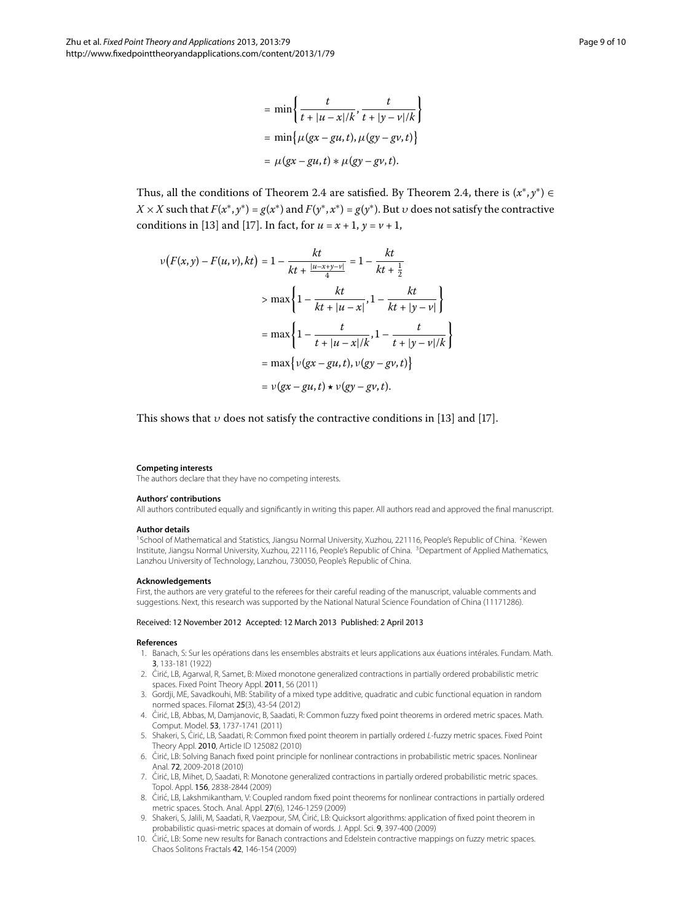$$
= \min \left\{ \frac{t}{t + |u - x|/k}, \frac{t}{t + |y - v|/k} \right\}
$$

$$
= \min \left\{ \mu (gx - gu, t), \mu (gy - gv, t) \right\}
$$

$$
= \mu (gx - gu, t) * \mu (gy - gv, t).
$$

Thus, all the conditions of Theorem 2[.](#page-6-0)4 are satisfied. By Theorem 2.4, there is  $(x^*, y^*) \in$  $X \times X$  such that  $F(x^*, y^*) = g(x^*)$  and  $F(y^*, x^*) = g(y^*)$ . But *v* does not satisfy the contractive conditions in [13] and [17]. In fact, for  $u = x + 1$ ,  $y = v + 1$ ,

$$
v(F(x,y) - F(u,v), kt) = 1 - \frac{kt}{kt + \frac{|u - x + y - v|}{4}} = 1 - \frac{kt}{kt + \frac{1}{2}}
$$
  
> 
$$
\max \left\{ 1 - \frac{kt}{kt + |u - x|}, 1 - \frac{kt}{kt + |y - v|} \right\}
$$
  
= 
$$
\max \left\{ 1 - \frac{t}{t + |u - x|/k}, 1 - \frac{t}{t + |y - v|/k} \right\}
$$
  
= 
$$
\max \left\{ v(gx - gu, t), v(gy - gv, t) \right\}
$$
  
= 
$$
v(gx - gu, t) \star v(gy - gv, t).
$$

<span id="page-8-2"></span><span id="page-8-1"></span><span id="page-8-0"></span>This shows that  $v$  does not satisfy the contractive conditions in [13[\]](#page-9-2) and [17].

#### **Competing interests**

The authors declare that they have no competing interests.

#### **Authors' contributions**

All authors contributed equally and significantly in writing this paper. All authors read and approved the final manuscript.

#### **Author details**

<span id="page-8-3"></span><sup>1</sup>School of Mathematical and Statistics, Jiangsu Normal University, Xuzhou, 221116, People's Republic of China. <sup>2</sup>Kewen Institute, Jiangsu Normal University, Xuzhou, 221116, People's Republic of China. 3Department of Applied Mathematics, Lanzhou University of Technology, Lanzhou, 730050, People's Republic of China.

#### <span id="page-8-4"></span>**Acknowledgements**

First, the authors are very grateful to the referees for their careful reading of the manuscript, valuable comments and suggestions. Next, this research was supported by the National Natural Science Foundation of China (11171286).

#### Received: 12 November 2012 Accepted: 12 March 2013 Published: 2 April 2013

#### **References**

- 1. Banach, S: Sur les opérations dans les ensembles abstraits et leurs applications aux éuations intérales. Fundam. Math. 3, 133-181 (1922)
- 2. Cirić, LB, Agarwal, R, Samet, B: Mixed monotone generalized contractions in partially ordered probabilistic metric spaces. Fixed Point Theory Appl. 2011, 56 (2011)
- 3. Gordji, ME, Savadkouhi, MB: Stability of a mixed type additive, quadratic and cubic functional equation in random normed spaces. Filomat 25(3), 43-54 (2012)
- 4. Cirić, LB, Abbas, M, Damjanovic, B, Saadati, R: Common fuzzy fixed point theorems in ordered metric spaces. Math. Comput. Model. 53, 1737-1741 (2011)
- 5. Shakeri, S, Cirić, LB, Saadati, R: Common fixed point theorem in partially ordered L-fuzzy metric spaces. Fixed Point Theory Appl. 2010, Article ID 125082 (2010)
- 6. Cirić, LB: Solving Banach fixed point principle for nonlinear contractions in probabilistic metric spaces. Nonlinear Anal. 72, 2009-2018 (2010)
- 7. Cirić, LB, Mihet, D, Saadati, R: Monotone generalized contractions in partially ordered probabilistic metric spaces. Topol. Appl. 156, 2838-2844 (2009)
- 8. Ciric, LB, Lakshmikantham, V: Coupled random fixed point theorems for nonlinear contractions in partially ordered metric spaces. Stoch. Anal. Appl. 27(6), 1246-1259 (2009)
- 9. Shakeri, S, Jalili, M, Saadati, R, Vaezpour, SM, Ćirić, LB: Quicksort algorithms: application of fixed point theorem in probabilistic quasi-metric spaces at domain of words. J. Appl. Sci. 9, 397-400 (2009)
- 10. Cirić, LB: Some new results for Banach contractions and Edelstein contractive mappings on fuzzy metric spaces. Chaos Solitons Fractals 42, 146-154 (2009)